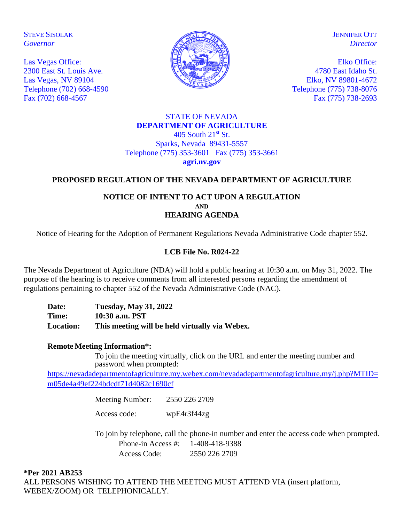STEVE SISOLAK *Governor*

Las Vegas Office: 2300 East St. Louis Ave. Las Vegas, NV 89104 Telephone (702) 668-4590 Fax (702) 668-4567



**JENNIFER OTT** *Director*

Elko Office: 4780 East Idaho St. Elko, NV 89801-4672 Telephone (775) 738-8076 Fax (775) 738-2693

#### STATE OF NEVADA **DEPARTMENT OF AGRICULTURE** 405 South  $21^{st}$  St. Sparks, Nevada 89431-5557 Telephone (775) 353-3601 Fax (775) 353-3661 **agri.nv.gov**

# **PROPOSED REGULATION OF THE NEVADA DEPARTMENT OF AGRICULTURE**

### **NOTICE OF INTENT TO ACT UPON A REGULATION AND HEARING AGENDA**

Notice of Hearing for the Adoption of Permanent Regulations Nevada Administrative Code chapter 552.

# **LCB File No. R024-22**

The Nevada Department of Agriculture (NDA) will hold a public hearing at 10:30 a.m. on May 31, 2022. The purpose of the hearing is to receive comments from all interested persons regarding the amendment of regulations pertaining to chapter 552 of the Nevada Administrative Code (NAC).

**Date: Tuesday, May 31, 2022 Time: 10:30 a.m. PST Location: This meeting will be held virtually via Webex.** 

### **Remote Meeting Information\*:**

To join the meeting virtually, click on the URL and enter the meeting number and password when prompted:

[https://nevadadepartmentofagriculture.my.webex.com/nevadadepartmentofagriculture.my/j.php?MTID=](https://nevadadepartmentofagriculture.my.webex.com/nevadadepartmentofagriculture.my/j.php?MTID=m05de4a49ef224bdcdf71d4082c1690cf) [m05de4a49ef224bdcdf71d4082c1690cf](https://nevadadepartmentofagriculture.my.webex.com/nevadadepartmentofagriculture.my/j.php?MTID=m05de4a49ef224bdcdf71d4082c1690cf)

Meeting Number: 2550 226 2709

Access code: wpE4r3f44zg

To join by telephone, call the phone-in number and enter the access code when prompted. Phone-in Access #: 1-408-418-9388 Access Code: 2550 226 2709

**\*Per 2021 AB253** ALL PERSONS WISHING TO ATTEND THE MEETING MUST ATTEND VIA (insert platform, WEBEX/ZOOM) OR TELEPHONICALLY.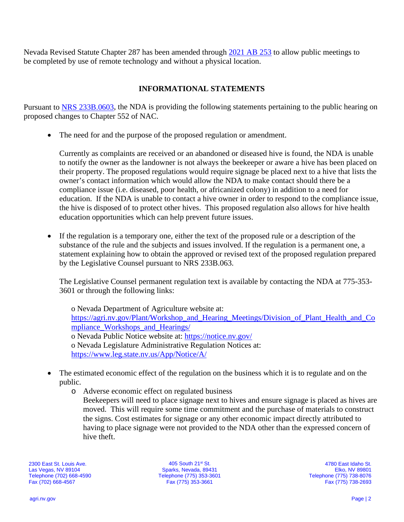Nevada Revised Statute Chapter 287 has been amended through [2021 AB 253](https://www.leg.state.nv.us/App/NELIS/REL/81st2021/Bill/7713/Text) to allow public meetings to be completed by use of remote technology and without a physical location.

# **INFORMATIONAL STATEMENTS**

Pursuant to [NRS 233B.0603,](https://www.leg.state.nv.us/NRS/NRS-233B.html#NRS233BSec0603) the NDA is providing the following statements pertaining to the public hearing on proposed changes to Chapter 552 of NAC.

• The need for and the purpose of the proposed regulation or amendment.

Currently as complaints are received or an abandoned or diseased hive is found, the NDA is unable to notify the owner as the landowner is not always the beekeeper or aware a hive has been placed on their property. The proposed regulations would require signage be placed next to a hive that lists the owner's contact information which would allow the NDA to make contact should there be a compliance issue (i.e. diseased, poor health, or africanized colony) in addition to a need for education. If the NDA is unable to contact a hive owner in order to respond to the compliance issue, the hive is disposed of to protect other hives. This proposed regulation also allows for hive health education opportunities which can help prevent future issues.

• If the regulation is a temporary one, either the text of the proposed rule or a description of the substance of the rule and the subjects and issues involved. If the regulation is a permanent one, a statement explaining how to obtain the approved or revised text of the proposed regulation prepared by the Legislative Counsel pursuant to NRS 233B.063.

The Legislative Counsel permanent regulation text is available by contacting the NDA at 775-353- 3601 or through the following links:

o Nevada Department of Agriculture website at: [https://agri.nv.gov/Plant/Workshop\\_and\\_Hearing\\_Meetings/Division\\_of\\_Plant\\_Health\\_and\\_Co](https://agri.nv.gov/Plant/Workshop_and_Hearing_Meetings/Division_of_Plant_Health_and_Compliance_Workshops_and_Hearings/) [mpliance\\_Workshops\\_and\\_Hearings/](https://agri.nv.gov/Plant/Workshop_and_Hearing_Meetings/Division_of_Plant_Health_and_Compliance_Workshops_and_Hearings/) o Nevada Public Notice website at: <https://notice.nv.gov/> o Nevada Legislature Administrative Regulation Notices at: <https://www.leg.state.nv.us/App/Notice/A/>

- The estimated economic effect of the regulation on the business which it is to regulate and on the public.
	- o Adverse economic effect on regulated business Beekeepers will need to place signage next to hives and ensure signage is placed as hives are moved. This will require some time commitment and the purchase of materials to construct the signs. Cost estimates for signage or any other economic impact directly attributed to having to place signage were not provided to the NDA other than the expressed concern of hive theft.

2300 East St. Louis Ave. Las Vegas, NV 89104 Telephone (702) 668-4590 Fax (702) 668-4567

405 South 21st St. Sparks, Nevada, 89431 Telephone (775) 353-3601 Fax (775) 353-3661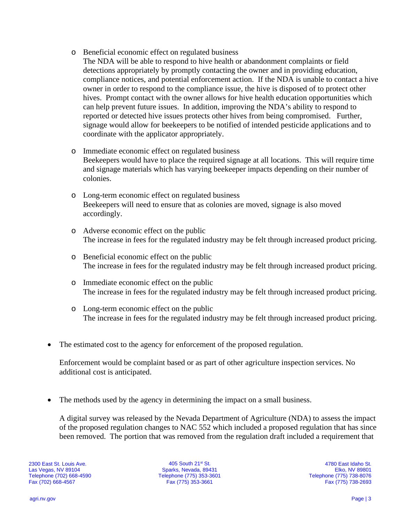- o Beneficial economic effect on regulated business
	- The NDA will be able to respond to hive health or abandonment complaints or field detections appropriately by promptly contacting the owner and in providing education, compliance notices, and potential enforcement action. If the NDA is unable to contact a hive owner in order to respond to the compliance issue, the hive is disposed of to protect other hives. Prompt contact with the owner allows for hive health education opportunities which can help prevent future issues. In addition, improving the NDA's ability to respond to reported or detected hive issues protects other hives from being compromised. Further, signage would allow for beekeepers to be notified of intended pesticide applications and to coordinate with the applicator appropriately.
- o Immediate economic effect on regulated business Beekeepers would have to place the required signage at all locations. This will require time and signage materials which has varying beekeeper impacts depending on their number of colonies.
- o Long-term economic effect on regulated business Beekeepers will need to ensure that as colonies are moved, signage is also moved accordingly.
- o Adverse economic effect on the public The increase in fees for the regulated industry may be felt through increased product pricing.
- o Beneficial economic effect on the public The increase in fees for the regulated industry may be felt through increased product pricing.
- o Immediate economic effect on the public The increase in fees for the regulated industry may be felt through increased product pricing.
- o Long-term economic effect on the public The increase in fees for the regulated industry may be felt through increased product pricing.
- The estimated cost to the agency for enforcement of the proposed regulation.

Enforcement would be complaint based or as part of other agriculture inspection services. No additional cost is anticipated.

• The methods used by the agency in determining the impact on a small business.

A digital survey was released by the Nevada Department of Agriculture (NDA) to assess the impact of the proposed regulation changes to NAC 552 which included a proposed regulation that has since been removed. The portion that was removed from the regulation draft included a requirement that

2300 East St. Louis Ave. Las Vegas, NV 89104 Telephone (702) 668-4590 Fax (702) 668-4567

405 South 21st St. Sparks, Nevada, 89431 Telephone (775) 353-3601 Fax (775) 353-3661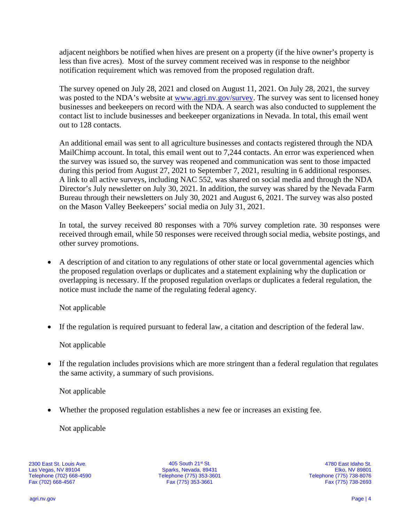adjacent neighbors be notified when hives are present on a property (if the hive owner's property is less than five acres). Most of the survey comment received was in response to the neighbor notification requirement which was removed from the proposed regulation draft.

The survey opened on July 28, 2021 and closed on August 11, 2021. On July 28, 2021, the survey was posted to the NDA's website at [www.agri.nv.gov/survey.](http://www.agri.nv.gov/survey) The survey was sent to licensed honey businesses and beekeepers on record with the NDA. A search was also conducted to supplement the contact list to include businesses and beekeeper organizations in Nevada. In total, this email went out to 128 contacts.

An additional email was sent to all agriculture businesses and contacts registered through the NDA MailChimp account. In total, this email went out to 7,244 contacts. An error was experienced when the survey was issued so, the survey was reopened and communication was sent to those impacted during this period from August 27, 2021 to September 7, 2021, resulting in 6 additional responses. A link to all active surveys, including NAC 552, was shared on social media and through the NDA Director's July newsletter on July 30, 2021. In addition, the survey was shared by the Nevada Farm Bureau through their newsletters on July 30, 2021 and August 6, 2021. The survey was also posted on the Mason Valley Beekeepers' social media on July 31, 2021.

In total, the survey received 80 responses with a 70% survey completion rate. 30 responses were received through email, while 50 responses were received through social media, website postings, and other survey promotions.

• A description of and citation to any regulations of other state or local governmental agencies which the proposed regulation overlaps or duplicates and a statement explaining why the duplication or overlapping is necessary. If the proposed regulation overlaps or duplicates a federal regulation, the notice must include the name of the regulating federal agency.

Not applicable

• If the regulation is required pursuant to federal law, a citation and description of the federal law.

Not applicable

• If the regulation includes provisions which are more stringent than a federal regulation that regulates the same activity, a summary of such provisions.

Not applicable

• Whether the proposed regulation establishes a new fee or increases an existing fee.

Not applicable

2300 East St. Louis Ave. Las Vegas, NV 89104 Telephone (702) 668-4590 Fax (702) 668-4567

405 South 21st St. Sparks, Nevada, 89431 Telephone (775) 353-3601 Fax (775) 353-3661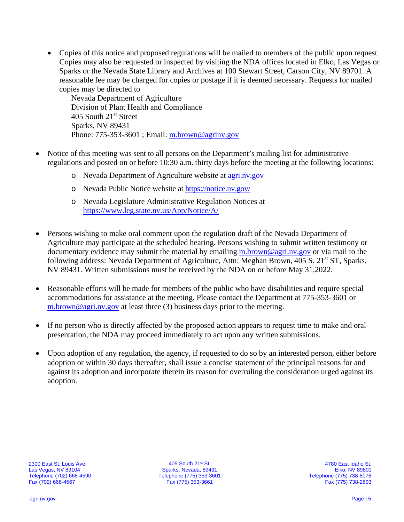• Copies of this notice and proposed regulations will be mailed to members of the public upon request. Copies may also be requested or inspected by visiting the NDA offices located in Elko, Las Vegas or Sparks or the Nevada State Library and Archives at 100 Stewart Street, Carson City, NV 89701. A reasonable fee may be charged for copies or postage if it is deemed necessary. Requests for mailed copies may be directed to

Nevada Department of Agriculture Division of Plant Health and Compliance 405 South 21<sup>st</sup> Street Sparks, NV 89431 Phone: 775-353-3601 ; Email: [m.brown@agrinv.gov](mailto:m.brown@agrinv.gov)

- Notice of this meeting was sent to all persons on the Department's mailing list for administrative regulations and posted on or before 10:30 a.m. thirty days before the meeting at the following locations:
	- o Nevada Department of Agriculture website at [agri.nv.gov](http://agri.nv.gov/Animals/Animal_Industries_Hearings,_Workshops,_Meetings/)
	- o Nevada Public Notice website at<https://notice.nv.gov/>
	- o Nevada Legislature Administrative Regulation Notices at <https://www.leg.state.nv.us/App/Notice/A/>
- Persons wishing to make oral comment upon the regulation draft of the Nevada Department of Agriculture may participate at the scheduled hearing. Persons wishing to submit written testimony or documentary evidence may submit the material by emailing [m.brown@agri.nv.gov](mailto:m.brown@agri.nv.gov) or via mail to the following address: Nevada Department of Agriculture, Attn: Meghan Brown, 405 S. 21<sup>st</sup> ST, Sparks, NV 89431. Written submissions must be received by the NDA on or before May 31,2022.
- Reasonable efforts will be made for members of the public who have disabilities and require special accommodations for assistance at the meeting. Please contact the Department at 775-353-3601 or  $m.brown@agri.nv.gov$  at least three (3) business days prior to the meeting.
- If no person who is directly affected by the proposed action appears to request time to make and oral presentation, the NDA may proceed immediately to act upon any written submissions.
- Upon adoption of any regulation, the agency, if requested to do so by an interested person, either before adoption or within 30 days thereafter, shall issue a concise statement of the principal reasons for and against its adoption and incorporate therein its reason for overruling the consideration urged against its adoption.

405 South 21st St. Sparks, Nevada, 89431 Telephone (775) 353-3601 Fax (775) 353-3661